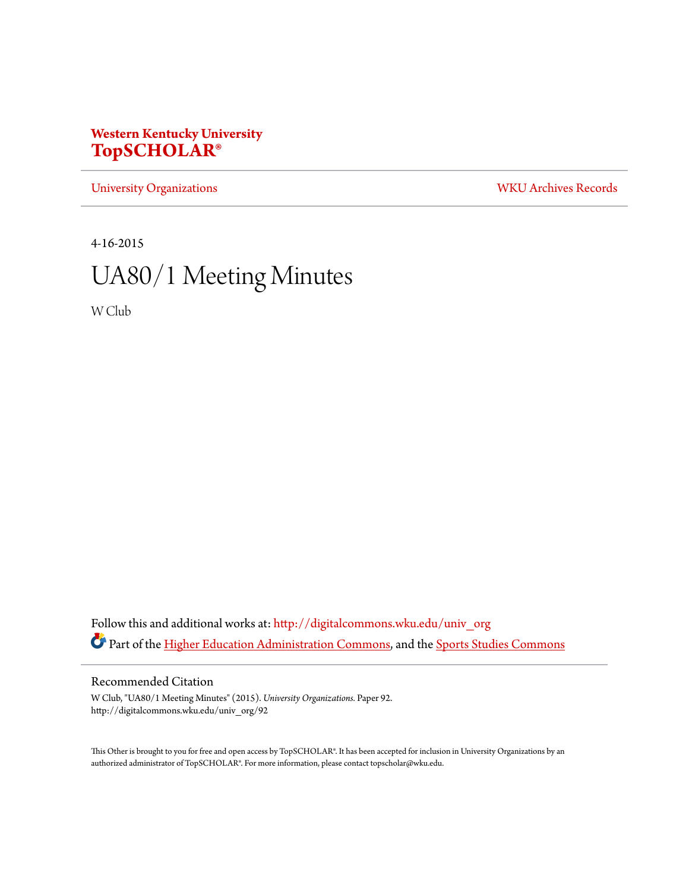## **Western Kentucky University [TopSCHOLAR®](http://digitalcommons.wku.edu?utm_source=digitalcommons.wku.edu%2Funiv_org%2F92&utm_medium=PDF&utm_campaign=PDFCoverPages)**

[University Organizations](http://digitalcommons.wku.edu/univ_org?utm_source=digitalcommons.wku.edu%2Funiv_org%2F92&utm_medium=PDF&utm_campaign=PDFCoverPages) [WKU Archives Records](http://digitalcommons.wku.edu/dlsc_ua_records?utm_source=digitalcommons.wku.edu%2Funiv_org%2F92&utm_medium=PDF&utm_campaign=PDFCoverPages)

4-16-2015

# UA80/1 Meeting Minutes

W Club

Follow this and additional works at: [http://digitalcommons.wku.edu/univ\\_org](http://digitalcommons.wku.edu/univ_org?utm_source=digitalcommons.wku.edu%2Funiv_org%2F92&utm_medium=PDF&utm_campaign=PDFCoverPages) Part of the [Higher Education Administration Commons](http://network.bepress.com/hgg/discipline/791?utm_source=digitalcommons.wku.edu%2Funiv_org%2F92&utm_medium=PDF&utm_campaign=PDFCoverPages), and the [Sports Studies Commons](http://network.bepress.com/hgg/discipline/1198?utm_source=digitalcommons.wku.edu%2Funiv_org%2F92&utm_medium=PDF&utm_campaign=PDFCoverPages)

### Recommended Citation

W Club, "UA80/1 Meeting Minutes" (2015). *University Organizations.* Paper 92. http://digitalcommons.wku.edu/univ\_org/92

This Other is brought to you for free and open access by TopSCHOLAR®. It has been accepted for inclusion in University Organizations by an authorized administrator of TopSCHOLAR®. For more information, please contact topscholar@wku.edu.